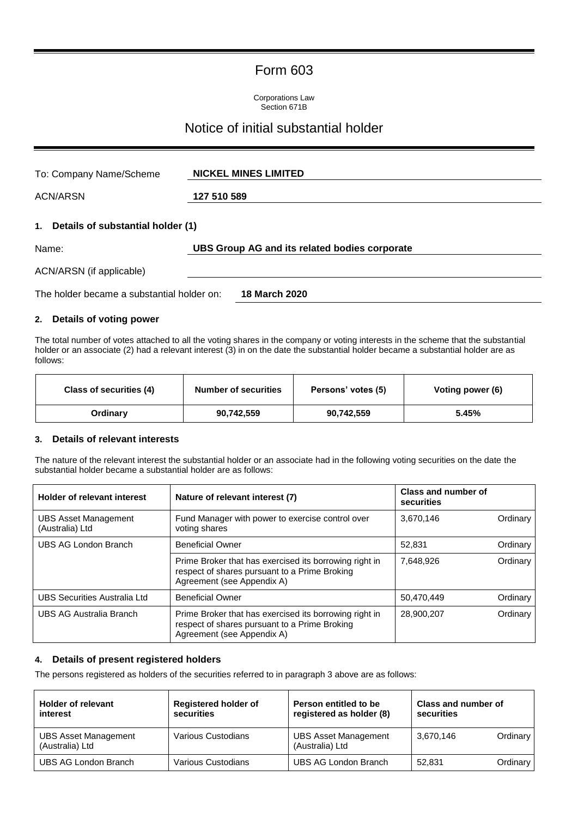## Form 603

Corporations Law Section 671B

# Notice of initial substantial holder

| To: Company Name/Scheme                    | <b>NICKEL MINES LIMITED</b>                   |  |  |  |
|--------------------------------------------|-----------------------------------------------|--|--|--|
| <b>ACN/ARSN</b>                            | 127 510 589                                   |  |  |  |
| 1.<br>Details of substantial holder (1)    |                                               |  |  |  |
| Name:                                      | UBS Group AG and its related bodies corporate |  |  |  |
| ACN/ARSN (if applicable)                   |                                               |  |  |  |
| The holder became a substantial holder on: | 18 March 2020                                 |  |  |  |

#### **2. Details of voting power**

The total number of votes attached to all the voting shares in the company or voting interests in the scheme that the substantial holder or an associate (2) had a relevant interest (3) in on the date the substantial holder became a substantial holder are as follows:

| Class of securities (4) | <b>Number of securities</b> | Persons' votes (5) | Voting power (6) |
|-------------------------|-----------------------------|--------------------|------------------|
| Ordinarv                | 90,742,559                  | 90,742,559         | 5.45%            |

#### **3. Details of relevant interests**

The nature of the relevant interest the substantial holder or an associate had in the following voting securities on the date the substantial holder became a substantial holder are as follows:

| <b>Holder of relevant interest</b>             | Nature of relevant interest (7)                                                                                                       | Class and number of<br>securities |          |
|------------------------------------------------|---------------------------------------------------------------------------------------------------------------------------------------|-----------------------------------|----------|
| <b>UBS Asset Management</b><br>(Australia) Ltd | Fund Manager with power to exercise control over<br>voting shares                                                                     | 3,670,146                         | Ordinary |
| UBS AG London Branch                           | <b>Beneficial Owner</b>                                                                                                               | 52.831                            | Ordinary |
|                                                | Prime Broker that has exercised its borrowing right in<br>respect of shares pursuant to a Prime Broking<br>Agreement (see Appendix A) | 7.648.926                         | Ordinary |
| <b>UBS Securities Australia Ltd</b>            | <b>Beneficial Owner</b>                                                                                                               | 50,470,449                        | Ordinary |
| UBS AG Australia Branch                        | Prime Broker that has exercised its borrowing right in<br>respect of shares pursuant to a Prime Broking<br>Agreement (see Appendix A) | 28,900,207                        | Ordinary |

#### **4. Details of present registered holders**

The persons registered as holders of the securities referred to in paragraph 3 above are as follows:

| <b>Holder of relevant</b><br>interest          | <b>Registered holder of</b><br>securities | Person entitled to be<br>registered as holder (8) | Class and number of<br>securities |          |
|------------------------------------------------|-------------------------------------------|---------------------------------------------------|-----------------------------------|----------|
| <b>UBS Asset Management</b><br>(Australia) Ltd | Various Custodians                        | <b>UBS Asset Management</b><br>(Australia) Ltd    | 3,670,146                         | Ordinary |
| UBS AG London Branch                           | Various Custodians                        | UBS AG London Branch                              | 52.831                            | Ordinary |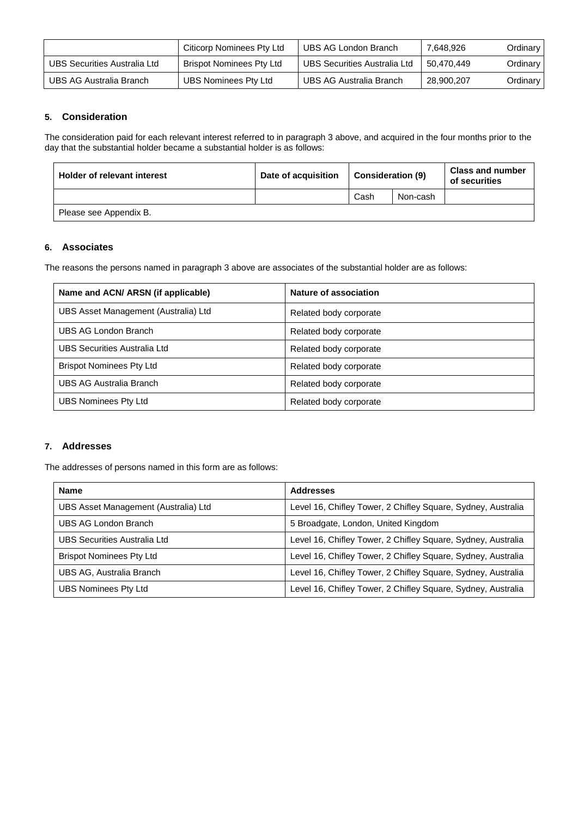|                              | Citicorp Nominees Pty Ltd | UBS AG London Branch                | 7,648,926  | Ordinary |
|------------------------------|---------------------------|-------------------------------------|------------|----------|
| UBS Securities Australia Ltd | Brispot Nominees Pty Ltd  | <b>UBS Securities Australia Ltd</b> | 50.470.449 | Ordinary |
| UBS AG Australia Branch      | UBS Nominees Pty Ltd      | UBS AG Australia Branch             | 28,900,207 | Ordinary |

#### **5. Consideration**

The consideration paid for each relevant interest referred to in paragraph 3 above, and acquired in the four months prior to the day that the substantial holder became a substantial holder is as follows:

| <b>Holder of relevant interest</b> | Date of acquisition | <b>Consideration (9)</b> |          | <b>Class and number</b><br>of securities |
|------------------------------------|---------------------|--------------------------|----------|------------------------------------------|
|                                    |                     | Cash                     | Non-cash |                                          |
| Please see Appendix B.             |                     |                          |          |                                          |

#### **6. Associates**

The reasons the persons named in paragraph 3 above are associates of the substantial holder are as follows:

| Name and ACN/ ARSN (if applicable)   | Nature of association  |
|--------------------------------------|------------------------|
| UBS Asset Management (Australia) Ltd | Related body corporate |
| UBS AG London Branch                 | Related body corporate |
| UBS Securities Australia Ltd         | Related body corporate |
| <b>Brispot Nominees Pty Ltd</b>      | Related body corporate |
| UBS AG Australia Branch              | Related body corporate |
| UBS Nominees Pty Ltd                 | Related body corporate |

#### **7. Addresses**

The addresses of persons named in this form are as follows:

| <b>Name</b>                          | <b>Addresses</b>                                             |
|--------------------------------------|--------------------------------------------------------------|
| UBS Asset Management (Australia) Ltd | Level 16, Chifley Tower, 2 Chifley Square, Sydney, Australia |
| UBS AG London Branch                 | 5 Broadgate, London, United Kingdom                          |
| UBS Securities Australia Ltd         | Level 16, Chifley Tower, 2 Chifley Square, Sydney, Australia |
| <b>Brispot Nominees Pty Ltd</b>      | Level 16, Chifley Tower, 2 Chifley Square, Sydney, Australia |
| UBS AG, Australia Branch             | Level 16, Chifley Tower, 2 Chifley Square, Sydney, Australia |
| <b>UBS Nominees Pty Ltd</b>          | Level 16, Chifley Tower, 2 Chifley Square, Sydney, Australia |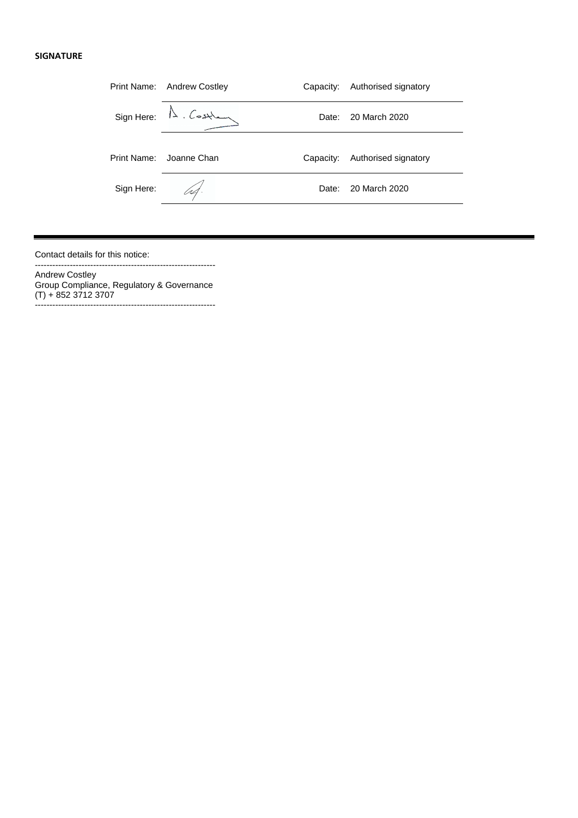#### **SIGNATURE**

|             | Print Name: Andrew Costley               | Capacity: | Authorised signatory |
|-------------|------------------------------------------|-----------|----------------------|
|             | $Sign Here: \mathbb{A} . \n \mathcal{L}$ | Date:     | 20 March 2020        |
| Print Name: | Joanne Chan                              | Capacity: | Authorised signatory |
| Sign Here:  | IA.                                      | Date:     | 20 March 2020        |

Contact details for this notice:

Andrew Costley Group Compliance, Regulatory & Governance (T) + 852 3712 3707 --------------------------------------------------------------

--------------------------------------------------------------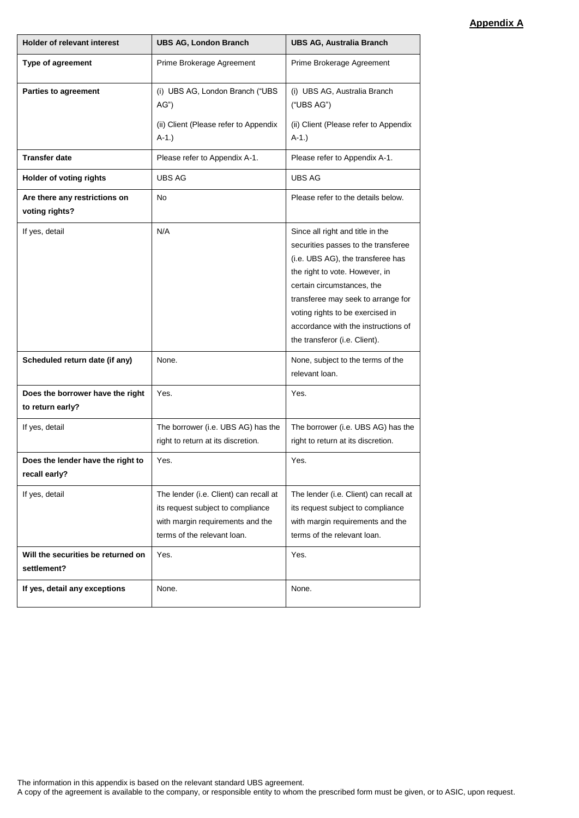## **Appendix A**

| <b>Holder of relevant interest</b>                   | <b>UBS AG, London Branch</b>                                                                                                                   | <b>UBS AG, Australia Branch</b>                                                                                                                                                                                                                                                                                                |
|------------------------------------------------------|------------------------------------------------------------------------------------------------------------------------------------------------|--------------------------------------------------------------------------------------------------------------------------------------------------------------------------------------------------------------------------------------------------------------------------------------------------------------------------------|
| Type of agreement                                    | Prime Brokerage Agreement                                                                                                                      | Prime Brokerage Agreement                                                                                                                                                                                                                                                                                                      |
| Parties to agreement                                 | (i) UBS AG, London Branch ("UBS<br>AG'<br>(ii) Client (Please refer to Appendix<br>$A-1.$ )                                                    | (i) UBS AG, Australia Branch<br>("UBS AG")<br>(ii) Client (Please refer to Appendix<br>$A-1.$ )                                                                                                                                                                                                                                |
| <b>Transfer date</b>                                 | Please refer to Appendix A-1.                                                                                                                  | Please refer to Appendix A-1.                                                                                                                                                                                                                                                                                                  |
| Holder of voting rights                              | UBS AG                                                                                                                                         | UBS AG                                                                                                                                                                                                                                                                                                                         |
| Are there any restrictions on<br>voting rights?      | <b>No</b>                                                                                                                                      | Please refer to the details below.                                                                                                                                                                                                                                                                                             |
| If yes, detail                                       | N/A                                                                                                                                            | Since all right and title in the<br>securities passes to the transferee<br>(i.e. UBS AG), the transferee has<br>the right to vote. However, in<br>certain circumstances, the<br>transferee may seek to arrange for<br>voting rights to be exercised in<br>accordance with the instructions of<br>the transferor (i.e. Client). |
| Scheduled return date (if any)                       | None.                                                                                                                                          | None, subject to the terms of the<br>relevant loan.                                                                                                                                                                                                                                                                            |
| Does the borrower have the right<br>to return early? | Yes.                                                                                                                                           | Yes.                                                                                                                                                                                                                                                                                                                           |
| If yes, detail                                       | The borrower (i.e. UBS AG) has the<br>right to return at its discretion.                                                                       | The borrower (i.e. UBS AG) has the<br>right to return at its discretion.                                                                                                                                                                                                                                                       |
| Does the lender have the right to<br>recall early?   | Yes.                                                                                                                                           | Yes.                                                                                                                                                                                                                                                                                                                           |
| If yes, detail                                       | The lender (i.e. Client) can recall at<br>its request subject to compliance<br>with margin requirements and the<br>terms of the relevant loan. | The lender (i.e. Client) can recall at<br>its request subject to compliance<br>with margin requirements and the<br>terms of the relevant loan.                                                                                                                                                                                 |
| Will the securities be returned on<br>settlement?    | Yes.                                                                                                                                           | Yes.                                                                                                                                                                                                                                                                                                                           |
| If yes, detail any exceptions                        | None.                                                                                                                                          | None.                                                                                                                                                                                                                                                                                                                          |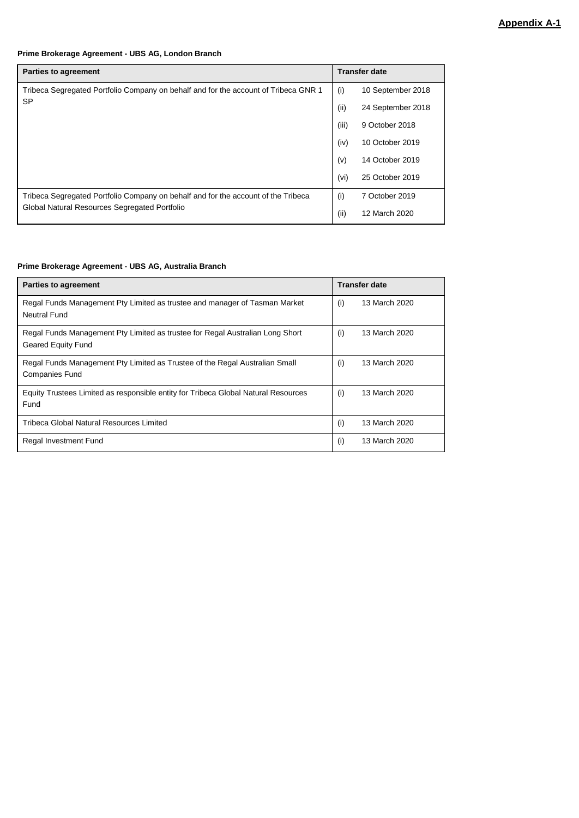### **Prime Brokerage Agreement - UBS AG, London Branch**

| <b>Parties to agreement</b>                                                         |       | <b>Transfer date</b> |  |
|-------------------------------------------------------------------------------------|-------|----------------------|--|
| Tribeca Segregated Portfolio Company on behalf and for the account of Tribeca GNR 1 | (i)   | 10 September 2018    |  |
| <b>SP</b>                                                                           | (i)   | 24 September 2018    |  |
|                                                                                     | (iii) | 9 October 2018       |  |
| (iv)                                                                                |       | 10 October 2019      |  |
|                                                                                     | (v)   | 14 October 2019      |  |
|                                                                                     | (vi)  | 25 October 2019      |  |
| Tribeca Segregated Portfolio Company on behalf and for the account of the Tribeca   |       | 7 October 2019       |  |
| Global Natural Resources Segregated Portfolio                                       | (ii)  | 12 March 2020        |  |

#### **Prime Brokerage Agreement - UBS AG, Australia Branch**

| <b>Parties to agreement</b>                                                        | <b>Transfer date</b> |  |
|------------------------------------------------------------------------------------|----------------------|--|
| Regal Funds Management Pty Limited as trustee and manager of Tasman Market         | 13 March 2020        |  |
| Neutral Fund                                                                       | (i)                  |  |
| Regal Funds Management Pty Limited as trustee for Regal Australian Long Short      | (i)                  |  |
| Geared Equity Fund                                                                 | 13 March 2020        |  |
| Regal Funds Management Pty Limited as Trustee of the Regal Australian Small        | (i)                  |  |
| <b>Companies Fund</b>                                                              | 13 March 2020        |  |
| Equity Trustees Limited as responsible entity for Tribeca Global Natural Resources | (i)                  |  |
| Fund                                                                               | 13 March 2020        |  |
| Tribeca Global Natural Resources Limited                                           | (i)<br>13 March 2020 |  |
| Regal Investment Fund                                                              | (i)<br>13 March 2020 |  |